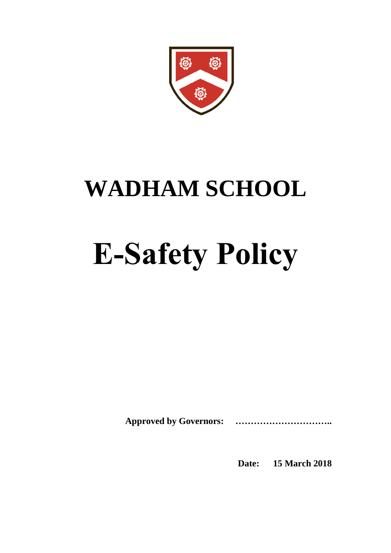

# **WADHAM SCHOOL**

# **E-Safety Policy**

**Approved by Governors: …………………………..** 

**Date: 15 March 2018**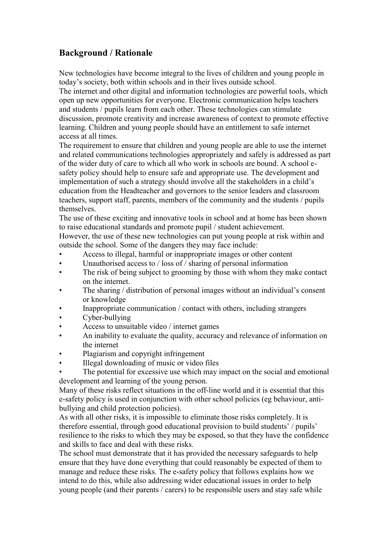# **Background / Rationale**

New technologies have become integral to the lives of children and young people in today's society, both within schools and in their lives outside school.

The internet and other digital and information technologies are powerful tools, which open up new opportunities for everyone. Electronic communication helps teachers and students / pupils learn from each other. These technologies can stimulate discussion, promote creativity and increase awareness of context to promote effective learning. Children and young people should have an entitlement to safe internet access at all times.

The requirement to ensure that children and young people are able to use the internet and related communications technologies appropriately and safely is addressed as part of the wider duty of care to which all who work in schools are bound. A school esafety policy should help to ensure safe and appropriate use. The development and implementation of such a strategy should involve all the stakeholders in a child's education from the Headteacher and governors to the senior leaders and classroom teachers, support staff, parents, members of the community and the students / pupils themselves.

The use of these exciting and innovative tools in school and at home has been shown to raise educational standards and promote pupil / student achievement.

However, the use of these new technologies can put young people at risk within and outside the school. Some of the dangers they may face include:

- Access to illegal, harmful or inappropriate images or other content
- Unauthorised access to / loss of / sharing of personal information
- The risk of being subject to grooming by those with whom they make contact on the internet.
- The sharing / distribution of personal images without an individual's consent or knowledge
- Inappropriate communication / contact with others, including strangers
- Cyber-bullying
- Access to unsuitable video / internet games
- An inability to evaluate the quality, accuracy and relevance of information on the internet
- Plagiarism and copyright infringement
- Illegal downloading of music or video files
- The potential for excessive use which may impact on the social and emotional development and learning of the young person.

Many of these risks reflect situations in the off-line world and it is essential that this e-safety policy is used in conjunction with other school policies (eg behaviour, antibullying and child protection policies).

As with all other risks, it is impossible to eliminate those risks completely. It is therefore essential, through good educational provision to build students' / pupils' resilience to the risks to which they may be exposed, so that they have the confidence and skills to face and deal with these risks.

The school must demonstrate that it has provided the necessary safeguards to help ensure that they have done everything that could reasonably be expected of them to manage and reduce these risks. The e-safety policy that follows explains how we intend to do this, while also addressing wider educational issues in order to help young people (and their parents / carers) to be responsible users and stay safe while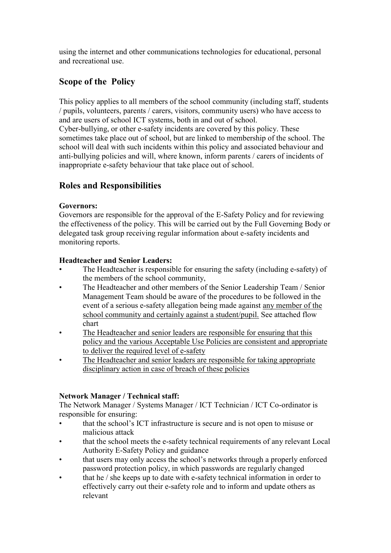using the internet and other communications technologies for educational, personal and recreational use.

# **Scope of the Policy**

This policy applies to all members of the school community (including staff, students / pupils, volunteers, parents / carers, visitors, community users) who have access to and are users of school ICT systems, both in and out of school.

Cyber-bullying, or other e-safety incidents are covered by this policy. These sometimes take place out of school, but are linked to membership of the school. The school will deal with such incidents within this policy and associated behaviour and anti-bullying policies and will, where known, inform parents / carers of incidents of inappropriate e-safety behaviour that take place out of school.

# **Roles and Responsibilities**

#### **Governors:**

Governors are responsible for the approval of the E-Safety Policy and for reviewing the effectiveness of the policy. This will be carried out by the Full Governing Body or delegated task group receiving regular information about e-safety incidents and monitoring reports.

# **Headteacher and Senior Leaders:**

- The Headteacher is responsible for ensuring the safety (including e-safety) of the members of the school community,
- The Headteacher and other members of the Senior Leadership Team / Senior Management Team should be aware of the procedures to be followed in the event of a serious e-safety allegation being made against any member of the school community and certainly against a student/pupil. See attached flow chart
- The Headteacher and senior leaders are responsible for ensuring that this policy and the various Acceptable Use Policies are consistent and appropriate to deliver the required level of e-safety
- The Headteacher and senior leaders are responsible for taking appropriate disciplinary action in case of breach of these policies

# **Network Manager / Technical staff:**

The Network Manager / Systems Manager / ICT Technician / ICT Co-ordinator is responsible for ensuring:

- that the school's ICT infrastructure is secure and is not open to misuse or malicious attack
- that the school meets the e-safety technical requirements of any relevant Local Authority E-Safety Policy and guidance
- that users may only access the school's networks through a properly enforced password protection policy, in which passwords are regularly changed
- that he / she keeps up to date with e-safety technical information in order to effectively carry out their e-safety role and to inform and update others as relevant 7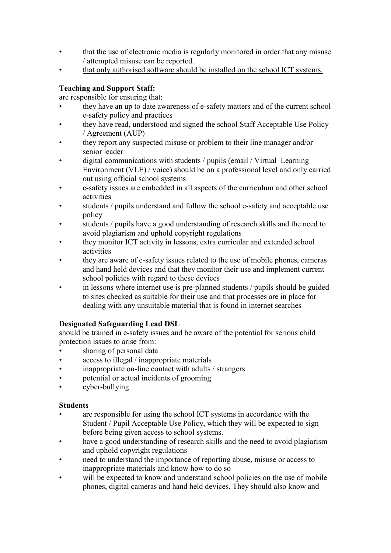- that the use of electronic media is regularly monitored in order that any misuse / attempted misuse can be reported.
- that only authorised software should be installed on the school ICT systems.

# **Teaching and Support Staff:**

are responsible for ensuring that:

- they have an up to date awareness of e-safety matters and of the current school e-safety policy and practices
- they have read, understood and signed the school Staff Acceptable Use Policy / Agreement (AUP)
- they report any suspected misuse or problem to their line manager and/or senior leader
- digital communications with students / pupils (email / Virtual Learning Environment (VLE) / voice) should be on a professional level and only carried out using official school systems
- e-safety issues are embedded in all aspects of the curriculum and other school activities
- students / pupils understand and follow the school e-safety and acceptable use policy
- students / pupils have a good understanding of research skills and the need to avoid plagiarism and uphold copyright regulations
- they monitor ICT activity in lessons, extra curricular and extended school activities
- they are aware of e-safety issues related to the use of mobile phones, cameras and hand held devices and that they monitor their use and implement current school policies with regard to these devices
- in lessons where internet use is pre-planned students / pupils should be guided to sites checked as suitable for their use and that processes are in place for dealing with any unsuitable material that is found in internet searches

# **Designated Safeguarding Lead DSL**

should be trained in e-safety issues and be aware of the potential for serious child protection issues to arise from:

- sharing of personal data
- access to illegal / inappropriate materials
- inappropriate on-line contact with adults / strangers
- potential or actual incidents of grooming
- cyber-bullying

#### **Students**

- are responsible for using the school ICT systems in accordance with the Student / Pupil Acceptable Use Policy, which they will be expected to sign before being given access to school systems.
- have a good understanding of research skills and the need to avoid plagiarism and uphold copyright regulations
- need to understand the importance of reporting abuse, misuse or access to inappropriate materials and know how to do so
- will be expected to know and understand school policies on the use of mobile phones, digital cameras and hand held devices. They should also know and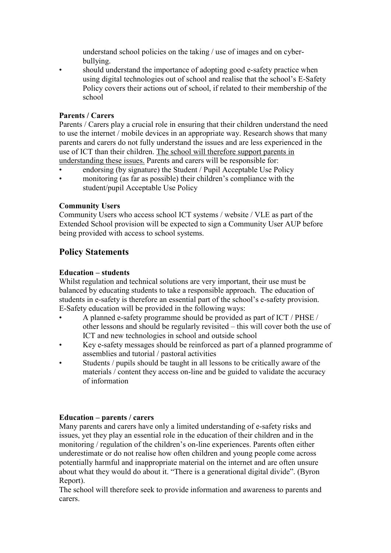understand school policies on the taking / use of images and on cyberbullying.

• should understand the importance of adopting good e-safety practice when using digital technologies out of school and realise that the school's E-Safety Policy covers their actions out of school, if related to their membership of the school

#### **Parents / Carers**

Parents / Carers play a crucial role in ensuring that their children understand the need to use the internet / mobile devices in an appropriate way. Research shows that many parents and carers do not fully understand the issues and are less experienced in the use of ICT than their children. The school will therefore support parents in understanding these issues. Parents and carers will be responsible for:

- endorsing (by signature) the Student / Pupil Acceptable Use Policy
- monitoring (as far as possible) their children's compliance with the student/pupil Acceptable Use Policy

#### **Community Users**

Community Users who access school ICT systems / website / VLE as part of the Extended School provision will be expected to sign a Community User AUP before being provided with access to school systems.

# **Policy Statements**

#### **Education – students**

Whilst regulation and technical solutions are very important, their use must be balanced by educating students to take a responsible approach. The education of students in e-safety is therefore an essential part of the school's e-safety provision. E-Safety education will be provided in the following ways:

- A planned e-safety programme should be provided as part of ICT / PHSE / other lessons and should be regularly revisited – this will cover both the use of ICT and new technologies in school and outside school
- Key e-safety messages should be reinforced as part of a planned programme of assemblies and tutorial / pastoral activities
- Students / pupils should be taught in all lessons to be critically aware of the materials / content they access on-line and be guided to validate the accuracy of information

#### **Education – parents / carers**

Many parents and carers have only a limited understanding of e-safety risks and issues, yet they play an essential role in the education of their children and in the monitoring / regulation of the children's on-line experiences. Parents often either underestimate or do not realise how often children and young people come across potentially harmful and inappropriate material on the internet and are often unsure about what they would do about it. "There is a generational digital divide". (Byron Report).

The school will therefore seek to provide information and awareness to parents and carers.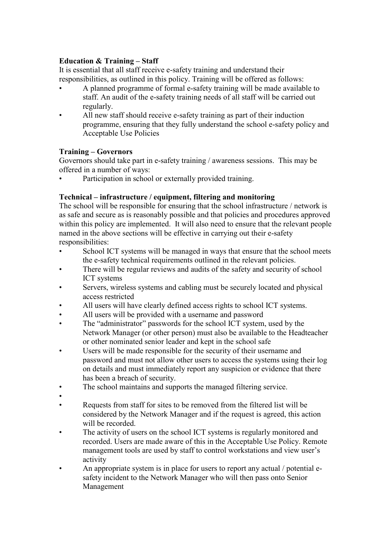#### **Education & Training – Staff**

It is essential that all staff receive e-safety training and understand their responsibilities, as outlined in this policy. Training will be offered as follows:

- A planned programme of formal e-safety training will be made available to staff. An audit of the e-safety training needs of all staff will be carried out regularly.
- All new staff should receive e-safety training as part of their induction programme, ensuring that they fully understand the school e-safety policy and Acceptable Use Policies

# **Training – Governors**

Governors should take part in e-safety training / awareness sessions. This may be offered in a number of ways:

Participation in school or externally provided training.

# **Technical – infrastructure / equipment, filtering and monitoring**

The school will be responsible for ensuring that the school infrastructure / network is as safe and secure as is reasonably possible and that policies and procedures approved within this policy are implemented. It will also need to ensure that the relevant people named in the above sections will be effective in carrying out their e-safety responsibilities:

- School ICT systems will be managed in ways that ensure that the school meets the e-safety technical requirements outlined in the relevant policies.
- There will be regular reviews and audits of the safety and security of school ICT systems
- Servers, wireless systems and cabling must be securely located and physical access restricted
- All users will have clearly defined access rights to school ICT systems.
- All users will be provided with a username and password
- The "administrator" passwords for the school ICT system, used by the Network Manager (or other person) must also be available to the Headteacher or other nominated senior leader and kept in the school safe
- Users will be made responsible for the security of their username and password and must not allow other users to access the systems using their log on details and must immediately report any suspicion or evidence that there has been a breach of security.
- The school maintains and supports the managed filtering service.
- •
- Requests from staff for sites to be removed from the filtered list will be considered by the Network Manager and if the request is agreed, this action will be recorded.
- The activity of users on the school ICT systems is regularly monitored and recorded. Users are made aware of this in the Acceptable Use Policy. Remote management tools are used by staff to control workstations and view user's activity
- An appropriate system is in place for users to report any actual / potential esafety incident to the Network Manager who will then pass onto Senior Management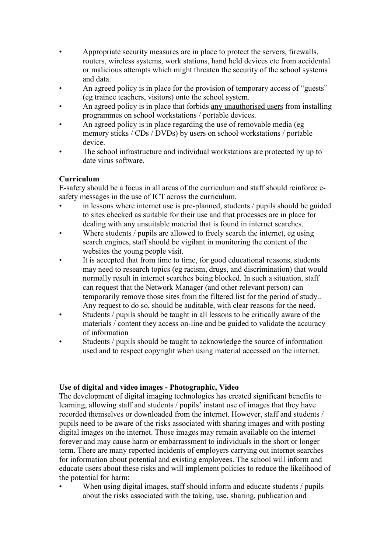- Appropriate security measures are in place to protect the servers, firewalls, routers, wireless systems, work stations, hand held devices etc from accidental or malicious attempts which might threaten the security of the school systems and data.
- An agreed policy is in place for the provision of temporary access of "guests" (eg trainee teachers, visitors) onto the school system.
- An agreed policy is in place that forbids any unauthorised users from installing programmes on school workstations / portable devices.
- An agreed policy is in place regarding the use of removable media (eg) memory sticks / CDs / DVDs) by users on school workstations / portable device.
- The school infrastructure and individual workstations are protected by up to date virus software.

# **Curriculum**

E-safety should be a focus in all areas of the curriculum and staff should reinforce esafety messages in the use of ICT across the curriculum.

- in lessons where internet use is pre-planned, students / pupils should be guided to sites checked as suitable for their use and that processes are in place for dealing with any unsuitable material that is found in internet searches.
- Where students / pupils are allowed to freely search the internet, eg using search engines, staff should be vigilant in monitoring the content of the websites the young people visit.
- It is accepted that from time to time, for good educational reasons, students may need to research topics (eg racism, drugs, and discrimination) that would normally result in internet searches being blocked. In such a situation, staff can request that the Network Manager (and other relevant person) can temporarily remove those sites from the filtered list for the period of study.. Any request to do so, should be auditable, with clear reasons for the need.
- Students / pupils should be taught in all lessons to be critically aware of the materials / content they access on-line and be guided to validate the accuracy of information
- Students / pupils should be taught to acknowledge the source of information used and to respect copyright when using material accessed on the internet.

#### **Use of digital and video images - Photographic, Video**

The development of digital imaging technologies has created significant benefits to learning, allowing staff and students / pupils' instant use of images that they have recorded themselves or downloaded from the internet. However, staff and students / pupils need to be aware of the risks associated with sharing images and with posting digital images on the internet. Those images may remain available on the internet forever and may cause harm or embarrassment to individuals in the short or longer term. There are many reported incidents of employers carrying out internet searches for information about potential and existing employees. The school will inform and educate users about these risks and will implement policies to reduce the likelihood of the potential for harm:

When using digital images, staff should inform and educate students / pupils about the risks associated with the taking, use, sharing, publication and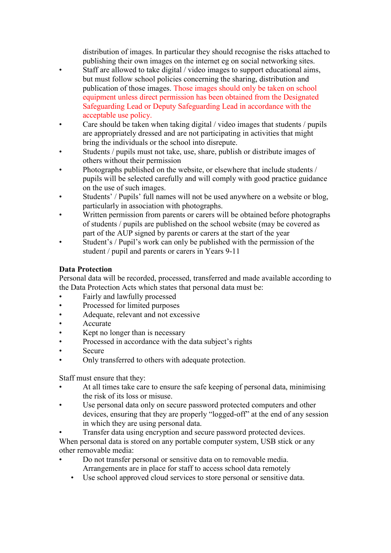distribution of images. In particular they should recognise the risks attached to publishing their own images on the internet eg on social networking sites.

- Staff are allowed to take digital / video images to support educational aims, but must follow school policies concerning the sharing, distribution and publication of those images. Those images should only be taken on school equipment unless direct permission has been obtained from the Designated Safeguarding Lead or Deputy Safeguarding Lead in accordance with the acceptable use policy.
- Care should be taken when taking digital / video images that students / pupils are appropriately dressed and are not participating in activities that might bring the individuals or the school into disrepute.
- Students / pupils must not take, use, share, publish or distribute images of others without their permission
- Photographs published on the website, or elsewhere that include students / pupils will be selected carefully and will comply with good practice guidance on the use of such images.
- Students' / Pupils' full names will not be used anywhere on a website or blog, particularly in association with photographs.
- Written permission from parents or carers will be obtained before photographs of students / pupils are published on the school website (may be covered as part of the AUP signed by parents or carers at the start of the year
- Student's / Pupil's work can only be published with the permission of the student / pupil and parents or carers in Years 9-11

# **Data Protection**

Personal data will be recorded, processed, transferred and made available according to the Data Protection Acts which states that personal data must be:

- Fairly and lawfully processed
- Processed for limited purposes
- Adequate, relevant and not excessive
- Accurate
- Kept no longer than is necessary
- Processed in accordance with the data subject's rights
- **Secure**
- Only transferred to others with adequate protection.

Staff must ensure that they:

- At all times take care to ensure the safe keeping of personal data, minimising the risk of its loss or misuse.
- Use personal data only on secure password protected computers and other devices, ensuring that they are properly "logged-off" at the end of any session in which they are using personal data.
- Transfer data using encryption and secure password protected devices. When personal data is stored on any portable computer system, USB stick or any other removable media:
- Do not transfer personal or sensitive data on to removable media. Arrangements are in place for staff to access school data remotely
	- Use school approved cloud services to store personal or sensitive data.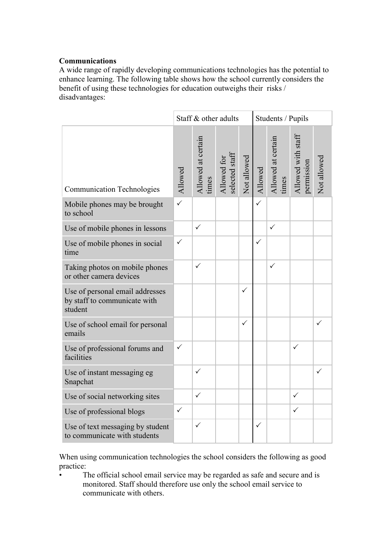#### **Communications**

A wide range of rapidly developing communications technologies has the potential to enhance learning. The following table shows how the school currently considers the benefit of using these technologies for education outweighs their risks / disadvantages:

|                                                                            |              | Staff & other adults        |                               |              | Students / Pupils |                             |                                  |              |  |
|----------------------------------------------------------------------------|--------------|-----------------------------|-------------------------------|--------------|-------------------|-----------------------------|----------------------------------|--------------|--|
| <b>Communication Technologies</b>                                          | Allowed      | Allowed at certain<br>times | selected staff<br>Allowed for | Not allowed  | Allowed           | Allowed at certain<br>times | Allowed with staff<br>permission | Not allowed  |  |
| Mobile phones may be brought<br>to school                                  | $\checkmark$ |                             |                               |              | $\checkmark$      |                             |                                  |              |  |
| Use of mobile phones in lessons                                            |              | $\checkmark$                |                               |              |                   | $\checkmark$                |                                  |              |  |
| Use of mobile phones in social<br>time                                     | $\checkmark$ |                             |                               |              | $\checkmark$      |                             |                                  |              |  |
| Taking photos on mobile phones<br>or other camera devices                  |              | ✓                           |                               |              |                   | ✓                           |                                  |              |  |
| Use of personal email addresses<br>by staff to communicate with<br>student |              |                             |                               | $\checkmark$ |                   |                             |                                  |              |  |
| Use of school email for personal<br>emails                                 |              |                             |                               | $\checkmark$ |                   |                             |                                  | $\checkmark$ |  |
| Use of professional forums and<br>facilities                               | $\checkmark$ |                             |                               |              |                   |                             | $\checkmark$                     |              |  |
| Use of instant messaging eg<br>Snapchat                                    |              | $\checkmark$                |                               |              |                   |                             |                                  | ✓            |  |
| Use of social networking sites                                             |              | $\checkmark$                |                               |              |                   |                             | $\checkmark$                     |              |  |
| Use of professional blogs                                                  | $\checkmark$ |                             |                               |              |                   |                             | $\checkmark$                     |              |  |
| Use of text messaging by student<br>to communicate with students           |              | $\checkmark$                |                               |              | $\checkmark$      |                             |                                  |              |  |

When using communication technologies the school considers the following as good practice:

• The official school email service may be regarded as safe and secure and is monitored. Staff should therefore use only the school email service to communicate with others.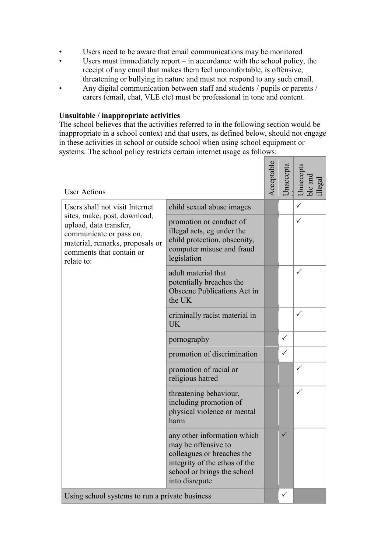- Users need to be aware that email communications may be monitored
- Users must immediately report in accordance with the school policy, the receipt of any email that makes them feel uncomfortable, is offensive, threatening or bullying in nature and must not respond to any such email.
- Any digital communication between staff and students / pupils or parents / carers (email, chat, VLE etc) must be professional in tone and content.

#### **Unsuitable / inappropriate activities**

The school believes that the activities referred to in the following section would be inappropriate in a school context and that users, as defined below, should not engage in these activities in school or outside school when using school equipment or systems. The school policy restricts certain internet usage as follows:

| <b>User Actions</b>                                                                                                                                            |                                                                                                                                                                    | Acceptable | naccepta     | Jnaccepta<br>ble and<br>$\mu$ egal |
|----------------------------------------------------------------------------------------------------------------------------------------------------------------|--------------------------------------------------------------------------------------------------------------------------------------------------------------------|------------|--------------|------------------------------------|
| Users shall not visit Internet                                                                                                                                 | child sexual abuse images                                                                                                                                          |            |              | ✓                                  |
| sites, make, post, download,<br>upload, data transfer,<br>communicate or pass on,<br>material, remarks, proposals or<br>comments that contain or<br>relate to: | promotion or conduct of<br>illegal acts, eg under the<br>child protection, obscenity,<br>computer misuse and fraud<br>legislation                                  |            |              | ✓                                  |
|                                                                                                                                                                | adult material that<br>potentially breaches the<br>Obscene Publications Act in<br>the UK                                                                           |            |              | ✓                                  |
|                                                                                                                                                                | criminally racist material in<br><b>UK</b>                                                                                                                         |            |              | ✓                                  |
|                                                                                                                                                                | pornography                                                                                                                                                        |            | $\checkmark$ |                                    |
|                                                                                                                                                                | promotion of discrimination                                                                                                                                        |            | $\checkmark$ |                                    |
|                                                                                                                                                                | promotion of racial or<br>religious hatred                                                                                                                         |            |              | ✓                                  |
|                                                                                                                                                                | threatening behaviour,<br>including promotion of<br>physical violence or mental<br>harm                                                                            |            |              | ✓                                  |
|                                                                                                                                                                | any other information which<br>may be offensive to<br>colleagues or breaches the<br>integrity of the ethos of the<br>school or brings the school<br>into disrepute |            | ✓            |                                    |
| Using school systems to run a private business                                                                                                                 |                                                                                                                                                                    |            | $\checkmark$ |                                    |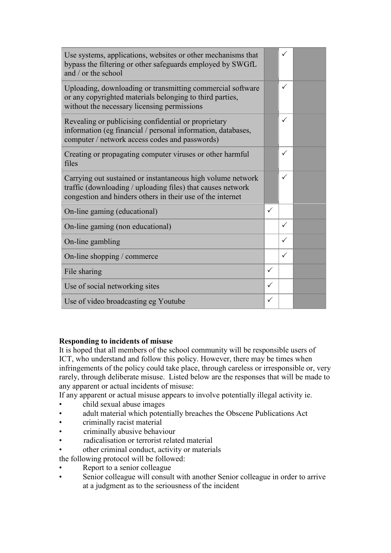| Use systems, applications, websites or other mechanisms that<br>bypass the filtering or other safeguards employed by SWGfL<br>and / or the school                                        |              | ✓            |  |
|------------------------------------------------------------------------------------------------------------------------------------------------------------------------------------------|--------------|--------------|--|
| Uploading, downloading or transmitting commercial software<br>or any copyrighted materials belonging to third parties,<br>without the necessary licensing permissions                    |              | ✓            |  |
| Revealing or publicising confidential or proprietary<br>information (eg financial / personal information, databases,<br>computer / network access codes and passwords)                   |              | ✓            |  |
| Creating or propagating computer viruses or other harmful<br>files                                                                                                                       |              | ✓            |  |
| Carrying out sustained or instantaneous high volume network<br>traffic (downloading / uploading files) that causes network<br>congestion and hinders others in their use of the internet |              | ✓            |  |
| On-line gaming (educational)                                                                                                                                                             | $\checkmark$ |              |  |
| On-line gaming (non educational)                                                                                                                                                         |              | $\checkmark$ |  |
| On-line gambling                                                                                                                                                                         |              | ✓            |  |
| On-line shopping / commerce                                                                                                                                                              |              | $\checkmark$ |  |
| File sharing                                                                                                                                                                             | $\checkmark$ |              |  |
| Use of social networking sites                                                                                                                                                           | $\checkmark$ |              |  |
| Use of video broadcasting eg Youtube                                                                                                                                                     |              |              |  |

#### **Responding to incidents of misuse**

It is hoped that all members of the school community will be responsible users of ICT, who understand and follow this policy. However, there may be times when infringements of the policy could take place, through careless or irresponsible or, very rarely, through deliberate misuse. Listed below are the responses that will be made to any apparent or actual incidents of misuse:

If any apparent or actual misuse appears to involve potentially illegal activity ie.

- child sexual abuse images
- adult material which potentially breaches the Obscene Publications Act
- criminally racist material
- criminally abusive behaviour
- radicalisation or terrorist related material
- other criminal conduct, activity or materials
- the following protocol will be followed:
- Report to a senior colleague
- Senior colleague will consult with another Senior colleague in order to arrive at a judgment as to the seriousness of the incident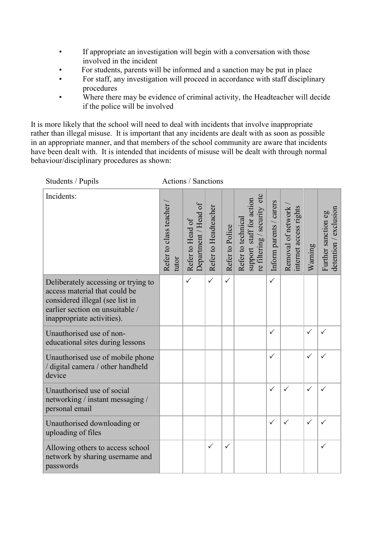- If appropriate an investigation will begin with a conversation with those involved in the incident
- For students, parents will be informed and a sanction may be put in place
- For staff, any investigation will proceed in accordance with staff disciplinary procedures
- Where there may be evidence of criminal activity, the Headteacher will decide if the police will be involved

It is more likely that the school will need to deal with incidents that involve inappropriate rather than illegal misuse. It is important that any incidents are dealt with as soon as possible in an appropriate manner, and that members of the school community are aware that incidents have been dealt with. It is intended that incidents of misuse will be dealt with through normal behaviour/disciplinary procedures as shown:

| Students / Pupils                                                                                                                                                        |                                 | Actions / Sanctions                      |                      |                 |                                                                               |                         |                                              |              |                                              |
|--------------------------------------------------------------------------------------------------------------------------------------------------------------------------|---------------------------------|------------------------------------------|----------------------|-----------------|-------------------------------------------------------------------------------|-------------------------|----------------------------------------------|--------------|----------------------------------------------|
| Incidents:                                                                                                                                                               | Refer to class teacher<br>tutor | Department / Head of<br>Refer to Head of | Refer to Headteacher | Refer to Police | re filtering / security etc<br>support staff for action<br>Refer to technical | Inform parents / carers | Removal of network<br>internet access rights | Warning      | detention / exclusion<br>Further sanction eg |
| Deliberately accessing or trying to<br>access material that could be<br>considered illegal (see list in<br>earlier section on unsuitable /<br>inappropriate activities). |                                 | $\checkmark$                             | $\checkmark$         | $\checkmark$    |                                                                               | $\checkmark$            |                                              |              |                                              |
| Unauthorised use of non-<br>educational sites during lessons                                                                                                             |                                 |                                          |                      |                 |                                                                               | $\checkmark$            |                                              | $\checkmark$ | $\checkmark$                                 |
| Unauthorised use of mobile phone<br>/ digital camera / other handheld<br>device                                                                                          |                                 |                                          |                      |                 |                                                                               | ✓                       |                                              | $\checkmark$ |                                              |
| Unauthorised use of social<br>networking / instant messaging /<br>personal email                                                                                         |                                 |                                          |                      |                 |                                                                               | $\checkmark$            | $\checkmark$                                 | $\checkmark$ | $\checkmark$                                 |
| Unauthorised downloading or<br>uploading of files                                                                                                                        |                                 |                                          |                      |                 |                                                                               | $\checkmark$            | $\checkmark$                                 | $\checkmark$ | $\checkmark$                                 |
| Allowing others to access school<br>network by sharing username and<br>passwords                                                                                         |                                 |                                          | $\checkmark$         | $\checkmark$    |                                                                               |                         |                                              |              | $\checkmark$                                 |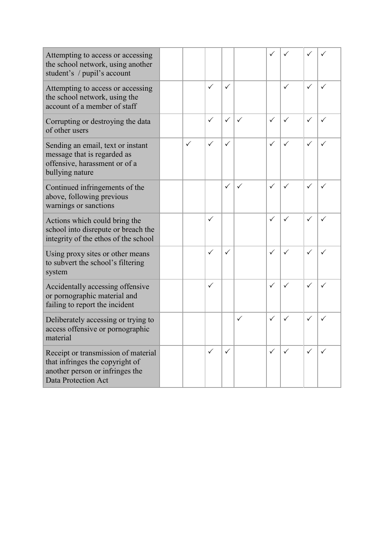| Attempting to access or accessing<br>the school network, using another<br>student's / pupil's account                                   |   |              |              |   | ✓            |              |              |              |
|-----------------------------------------------------------------------------------------------------------------------------------------|---|--------------|--------------|---|--------------|--------------|--------------|--------------|
| Attempting to access or accessing<br>the school network, using the<br>account of a member of staff                                      |   | $\checkmark$ | ✓            |   |              | $\checkmark$ | $\checkmark$ | ✓            |
| Corrupting or destroying the data<br>of other users                                                                                     |   | $\checkmark$ | ✓            | ✓ | $\checkmark$ | $\checkmark$ | ✓            | ✓            |
| Sending an email, text or instant<br>message that is regarded as<br>offensive, harassment or of a<br>bullying nature                    | ✓ | $\checkmark$ | ✓            |   | ✓            | ✓            | ✓            |              |
| Continued infringements of the<br>above, following previous<br>warnings or sanctions                                                    |   |              | $\checkmark$ | ✓ | $\checkmark$ | $\checkmark$ | ✓            | ✓            |
| Actions which could bring the<br>school into disrepute or breach the<br>integrity of the ethos of the school                            |   | $\checkmark$ |              |   | $\checkmark$ | $\checkmark$ | ✓            | ✓            |
| Using proxy sites or other means<br>to subvert the school's filtering<br>system                                                         |   | $\checkmark$ | ✓            |   | ✓            | $\checkmark$ | ✓            | ✓            |
| Accidentally accessing offensive<br>or pornographic material and<br>failing to report the incident                                      |   | $\checkmark$ |              |   | ✓            | $\checkmark$ | ✓            | ✓            |
| Deliberately accessing or trying to<br>access offensive or pornographic<br>material                                                     |   |              |              | ✓ | $\checkmark$ | $\checkmark$ | ✓            | ✓            |
| Receipt or transmission of material<br>that infringes the copyright of<br>another person or infringes the<br><b>Data Protection Act</b> |   | $\checkmark$ | $\checkmark$ |   | $\checkmark$ | $\checkmark$ | $\checkmark$ | $\checkmark$ |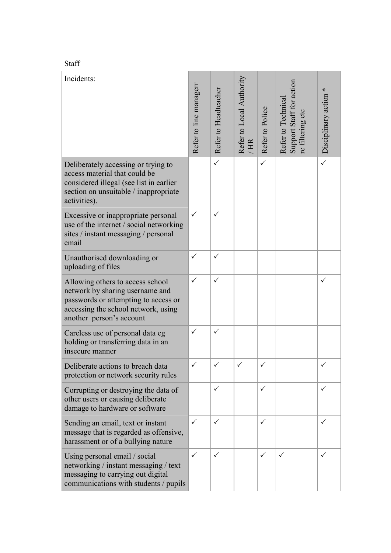| ۰ö |  |
|----|--|
|    |  |

| Incidents:                                                                                                                                                                     | Refer to line managerr | Refer to Headteacher | Refer to Local Authority<br>HR <sup>1</sup> | Refer to Police | Support Staff for action<br>Refer to Technica<br>re filtering etc | Disciplinary action * |
|--------------------------------------------------------------------------------------------------------------------------------------------------------------------------------|------------------------|----------------------|---------------------------------------------|-----------------|-------------------------------------------------------------------|-----------------------|
| Deliberately accessing or trying to<br>access material that could be<br>considered illegal (see list in earlier<br>section on unsuitable / inappropriate<br>activities).       |                        | $\checkmark$         |                                             | $\checkmark$    |                                                                   | $\checkmark$          |
| Excessive or inappropriate personal<br>use of the internet / social networking<br>sites / instant messaging / personal<br>email                                                | $\checkmark$           | ✓                    |                                             |                 |                                                                   |                       |
| Unauthorised downloading or<br>uploading of files                                                                                                                              | $\checkmark$           | $\checkmark$         |                                             |                 |                                                                   |                       |
| Allowing others to access school<br>network by sharing username and<br>passwords or attempting to access or<br>accessing the school network, using<br>another person's account | $\checkmark$           | $\checkmark$         |                                             |                 |                                                                   | $\checkmark$          |
| Careless use of personal data eg<br>holding or transferring data in an<br>insecure manner                                                                                      | $\checkmark$           | $\checkmark$         |                                             |                 |                                                                   |                       |
| Deliberate actions to breach data<br>protection or network security rules                                                                                                      |                        |                      |                                             |                 |                                                                   | ✓                     |
| Corrupting or destroying the data of<br>other users or causing deliberate<br>damage to hardware or software                                                                    |                        | ✓                    |                                             | $\checkmark$    |                                                                   | ✓                     |
| Sending an email, text or instant<br>message that is regarded as offensive,<br>harassment or of a bullying nature                                                              | ✓                      | $\checkmark$         |                                             | $\checkmark$    |                                                                   | ✓                     |
| Using personal email / social<br>networking / instant messaging / text<br>messaging to carrying out digital<br>communications with students / pupils                           | ✓                      | ✓                    |                                             | $\checkmark$    | ✓                                                                 | ✓                     |